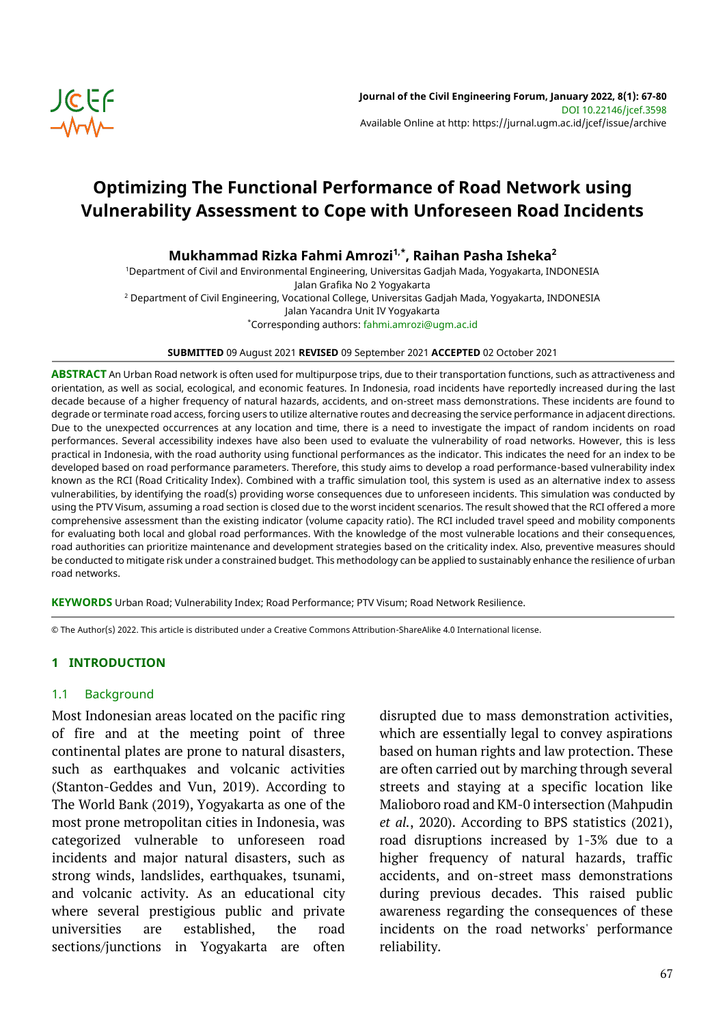

# **Optimizing The Functional Performance of Road Network using Vulnerability Assessment to Cope with Unforeseen Road Incidents**

**Mukhammad Rizka Fahmi Amrozi1,\*, Raihan Pasha Isheka<sup>2</sup>**

<sup>1</sup>Department of Civil and Environmental Engineering, Universitas Gadjah Mada, Yogyakarta, INDONESIA Jalan Grafika No 2 Yogyakarta <sup>2</sup> Department of Civil Engineering, Vocational College, Universitas Gadjah Mada, Yogyakarta, INDONESIA Jalan Yacandra Unit IV Yogyakarta \*Corresponding authors: fahmi.amrozi@ugm.ac.id

#### **SUBMITTED** 09 August 2021 **REVISED** 09 September 2021 **ACCEPTED** 02 October 2021

**ABSTRACT** An Urban Road network is often used for multipurpose trips, due to their transportation functions, such as attractiveness and orientation, as well as social, ecological, and economic features. In Indonesia, road incidents have reportedly increased during the last decade because of a higher frequency of natural hazards, accidents, and on-street mass demonstrations. These incidents are found to degrade or terminate road access, forcing users to utilize alternative routes and decreasing the service performance in adjacent directions. Due to the unexpected occurrences at any location and time, there is a need to investigate the impact of random incidents on road performances. Several accessibility indexes have also been used to evaluate the vulnerability of road networks. However, this is less practical in Indonesia, with the road authority using functional performances as the indicator. This indicates the need for an index to be developed based on road performance parameters. Therefore, this study aims to develop a road performance-based vulnerability index known as the RCI (Road Criticality Index). Combined with a traffic simulation tool, this system is used as an alternative index to assess vulnerabilities, by identifying the road(s) providing worse consequences due to unforeseen incidents. This simulation was conducted by using the PTV Visum, assuming a road section is closed due to the worst incident scenarios. The result showed that the RCI offered a more comprehensive assessment than the existing indicator (volume capacity ratio). The RCI included travel speed and mobility components for evaluating both local and global road performances. With the knowledge of the most vulnerable locations and their consequences, road authorities can prioritize maintenance and development strategies based on the criticality index. Also, preventive measures should be conducted to mitigate risk under a constrained budget. This methodology can be applied to sustainably enhance the resilience of urban road networks.

**KEYWORDS** Urban Road; Vulnerability Index; Road Performance; PTV Visum; Road Network Resilience.

© The Author(s) 2022. This article is distributed under a Creative Commons Attribution-ShareAlike 4.0 International license.

# **1 INTRODUCTION**

#### 1.1 Background

Most Indonesian areas located on the pacific ring of fire and at the meeting point of three continental plates are prone to natural disasters, such as earthquakes and volcanic activities (Stanton-Geddes and Vun, 2019). According to The World Bank (2019), Yogyakarta as one of the most prone metropolitan cities in Indonesia, was categorized vulnerable to unforeseen road incidents and major natural disasters, such as strong winds, landslides, earthquakes, tsunami, and volcanic activity. As an educational city where several prestigious public and private universities are established, the road sections/junctions in Yogyakarta are often disrupted due to mass demonstration activities, which are essentially legal to convey aspirations based on human rights and law protection. These are often carried out by marching through several streets and staying at a specific location like Malioboro road and KM-0 intersection (Mahpudin *et al.*, 2020). According to BPS statistics (2021), road disruptions increased by 1-3% due to a higher frequency of natural hazards, traffic accidents, and on-street mass demonstrations during previous decades. This raised public awareness regarding the consequences of these incidents on the road networks' performance reliability.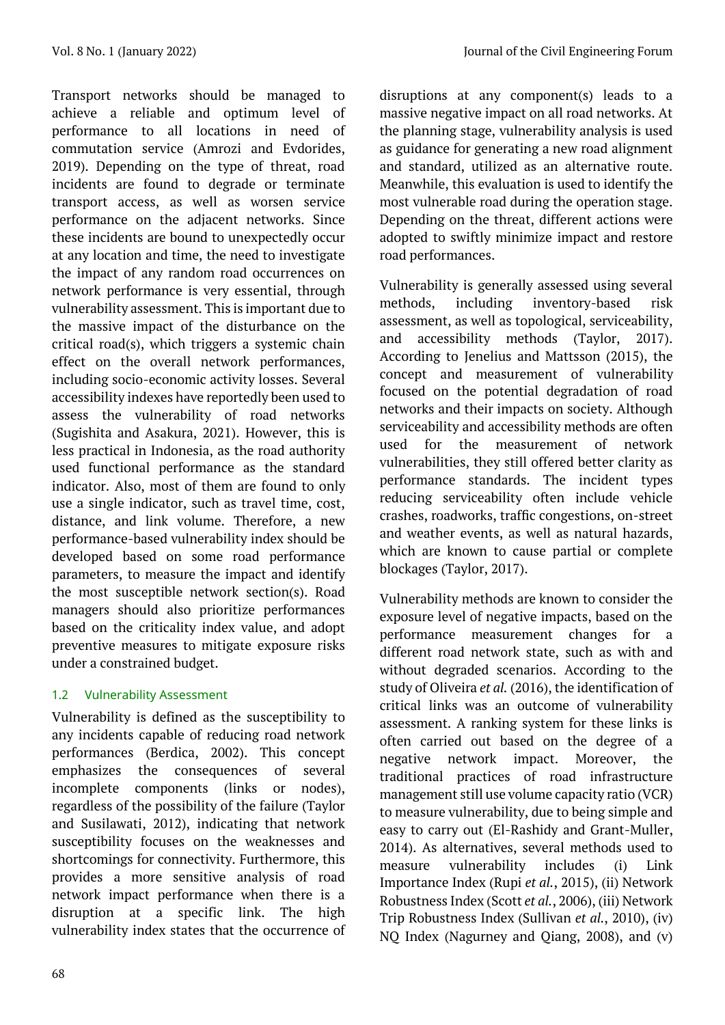Transport networks should be managed to achieve a reliable and optimum level of performance to all locations in need of commutation service (Amrozi and Evdorides, 2019). Depending on the type of threat, road incidents are found to degrade or terminate transport access, as well as worsen service performance on the adjacent networks. Since these incidents are bound to unexpectedly occur at any location and time, the need to investigate the impact of any random road occurrences on network performance is very essential, through vulnerability assessment. This is important due to the massive impact of the disturbance on the critical road(s), which triggers a systemic chain effect on the overall network performances, including socio-economic activity losses. Several accessibility indexes have reportedly been used to assess the vulnerability of road networks (Sugishita and Asakura, 2021). However, this is less practical in Indonesia, as the road authority used functional performance as the standard indicator. Also, most of them are found to only use a single indicator, such as travel time, cost, distance, and link volume. Therefore, a new performance-based vulnerability index should be developed based on some road performance parameters, to measure the impact and identify the most susceptible network section(s). Road managers should also prioritize performances based on the criticality index value, and adopt preventive measures to mitigate exposure risks under a constrained budget.

# 1.2 Vulnerability Assessment

Vulnerability is defined as the susceptibility to any incidents capable of reducing road network performances (Berdica, 2002). This concept emphasizes the consequences of several incomplete components (links or nodes), regardless of the possibility of the failure (Taylor and Susilawati, 2012), indicating that network susceptibility focuses on the weaknesses and shortcomings for connectivity. Furthermore, this provides a more sensitive analysis of road network impact performance when there is a disruption at a specific link. The high vulnerability index states that the occurrence of disruptions at any component(s) leads to a massive negative impact on all road networks. At the planning stage, vulnerability analysis is used as guidance for generating a new road alignment and standard, utilized as an alternative route. Meanwhile, this evaluation is used to identify the most vulnerable road during the operation stage. Depending on the threat, different actions were adopted to swiftly minimize impact and restore road performances.

Vulnerability is generally assessed using several methods, including inventory-based risk assessment, as well as topological, serviceability, and accessibility methods (Taylor, 2017). According to Jenelius and Mattsson (2015), the concept and measurement of vulnerability focused on the potential degradation of road networks and their impacts on society. Although serviceability and accessibility methods are often used for the measurement of network vulnerabilities, they still offered better clarity as performance standards. The incident types reducing serviceability often include vehicle crashes, roadworks, traffic congestions, on-street and weather events, as well as natural hazards, which are known to cause partial or complete blockages (Taylor, 2017).

Vulnerability methods are known to consider the exposure level of negative impacts, based on the performance measurement changes for a different road network state, such as with and without degraded scenarios. According to the study of Oliveira *et al.* (2016), the identification of critical links was an outcome of vulnerability assessment. A ranking system for these links is often carried out based on the degree of a negative network impact. Moreover, the traditional practices of road infrastructure management still use volume capacity ratio (VCR) to measure vulnerability, due to being simple and easy to carry out (El-Rashidy and Grant-Muller, 2014). As alternatives, several methods used to measure vulnerability includes (i) Link Importance Index (Rupi *et al.*, 2015), (ii) Network Robustness Index (Scott *et al.*, 2006), (iii) Network Trip Robustness Index (Sullivan *et al.*, 2010), (iv) NQ Index (Nagurney and Qiang, 2008), and (v)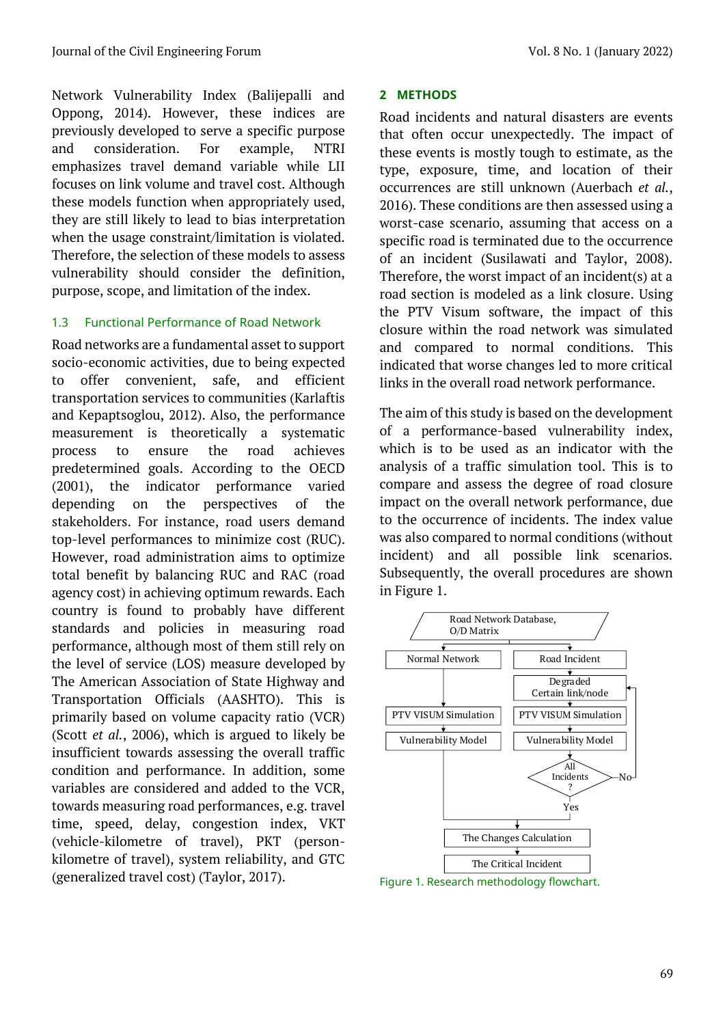Network Vulnerability Index (Balijepalli and Oppong, 2014). However, these indices are previously developed to serve a specific purpose and consideration. For example, NTRI emphasizes travel demand variable while LII focuses on link volume and travel cost. Although these models function when appropriately used, they are still likely to lead to bias interpretation when the usage constraint/limitation is violated. Therefore, the selection of these models to assess vulnerability should consider the definition, purpose, scope, and limitation of the index.

# 1.3 Functional Performance of Road Network

Road networks are a fundamental asset to support socio-economic activities, due to being expected to offer convenient, safe, and efficient transportation services to communities (Karlaftis and Kepaptsoglou, 2012). Also, the performance measurement is theoretically a systematic process to ensure the road achieves predetermined goals. According to the OECD (2001), the indicator performance varied depending on the perspectives of the stakeholders. For instance, road users demand top-level performances to minimize cost (RUC). However, road administration aims to optimize total benefit by balancing RUC and RAC (road agency cost) in achieving optimum rewards. Each country is found to probably have different standards and policies in measuring road performance, although most of them still rely on the level of service (LOS) measure developed by The American Association of State Highway and Transportation Officials (AASHTO). This is primarily based on volume capacity ratio (VCR) (Scott *et al.*, 2006), which is argued to likely be insufficient towards assessing the overall traffic condition and performance. In addition, some variables are considered and added to the VCR, towards measuring road performances, e.g. travel time, speed, delay, congestion index, VKT (vehicle-kilometre of travel), PKT (personkilometre of travel), system reliability, and GTC (generalized travel cost) (Taylor, 2017).

# **2 METHODS**

Road incidents and natural disasters are events that often occur unexpectedly. The impact of these events is mostly tough to estimate, as the type, exposure, time, and location of their occurrences are still unknown (Auerbach *et al.*, 2016). These conditions are then assessed using a worst-case scenario, assuming that access on a specific road is terminated due to the occurrence of an incident (Susilawati and Taylor, 2008). Therefore, the worst impact of an incident(s) at a road section is modeled as a link closure. Using the PTV Visum software, the impact of this closure within the road network was simulated and compared to normal conditions. This indicated that worse changes led to more critical links in the overall road network performance.

The aim of this study is based on the development of a performance-based vulnerability index, which is to be used as an indicator with the analysis of a traffic simulation tool. This is to compare and assess the degree of road closure impact on the overall network performance, due to the occurrence of incidents. The index value was also compared to normal conditions (without incident) and all possible link scenarios. Subsequently, the overall procedures are shown in Figure 1.



Figure 1. Research methodology flowchart.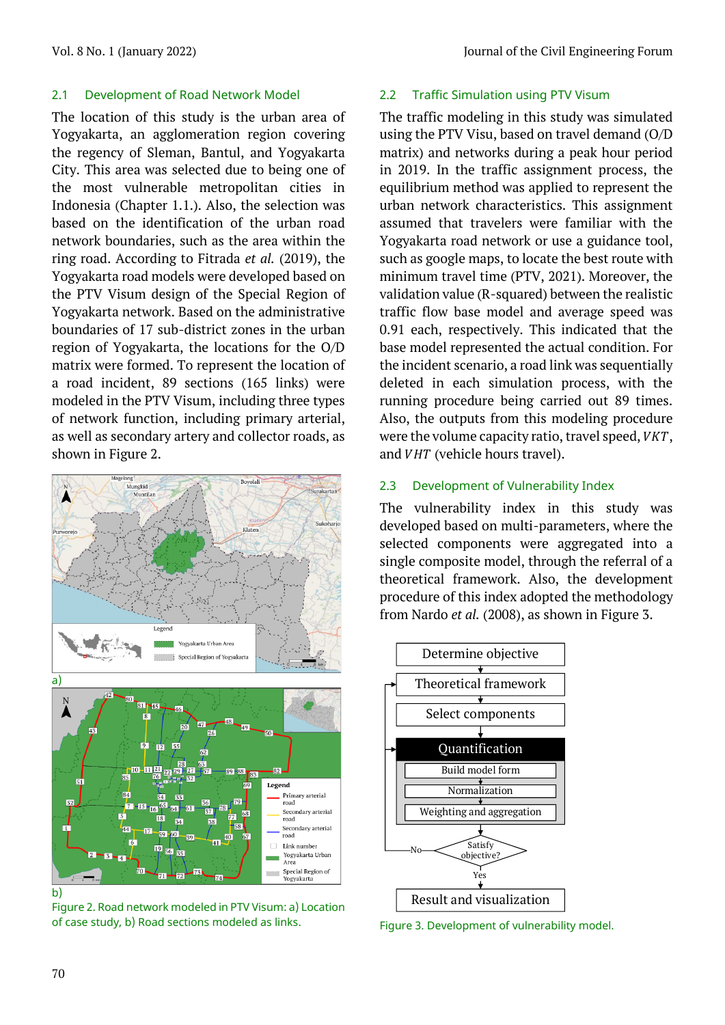## 2.1 Development of Road Network Model

The location of this study is the urban area of Yogyakarta, an agglomeration region covering the regency of Sleman, Bantul, and Yogyakarta City. This area was selected due to being one of the most vulnerable metropolitan cities in Indonesia (Chapter 1.1.). Also, the selection was based on the identification of the urban road network boundaries, such as the area within the ring road. According to Fitrada *et al.* (2019), the Yogyakarta road models were developed based on the PTV Visum design of the Special Region of Yogyakarta network. Based on the administrative boundaries of 17 sub-district zones in the urban region of Yogyakarta, the locations for the O/D matrix were formed. To represent the location of a road incident, 89 sections (165 links) were modeled in the PTV Visum, including three types of network function, including primary arterial, as well as secondary artery and collector roads, as shown in Figure 2.



Figure 2. Road network modeled in PTV Visum: a) Location of case study, b) Road sections modeled as links.

## 2.2 Traffic Simulation using PTV Visum

The traffic modeling in this study was simulated using the PTV Visu, based on travel demand (O/D matrix) and networks during a peak hour period in 2019. In the traffic assignment process, the equilibrium method was applied to represent the urban network characteristics. This assignment assumed that travelers were familiar with the Yogyakarta road network or use a guidance tool, such as google maps, to locate the best route with minimum travel time (PTV, 2021). Moreover, the validation value (R-squared) between the realistic traffic flow base model and average speed was 0.91 each, respectively. This indicated that the base model represented the actual condition. For the incident scenario, a road link was sequentially deleted in each simulation process, with the running procedure being carried out 89 times. Also, the outputs from this modeling procedure were the volume capacity ratio, travel speed,  $VKT$ , and *VHT* (vehicle hours travel).

# 2.3 Development of Vulnerability Index

The vulnerability index in this study was developed based on multi-parameters, where the selected components were aggregated into a single composite model, through the referral of a theoretical framework. Also, the development procedure of this index adopted the methodology from Nardo *et al.* (2008), as shown in Figure 3.



Figure 3. Development of vulnerability model.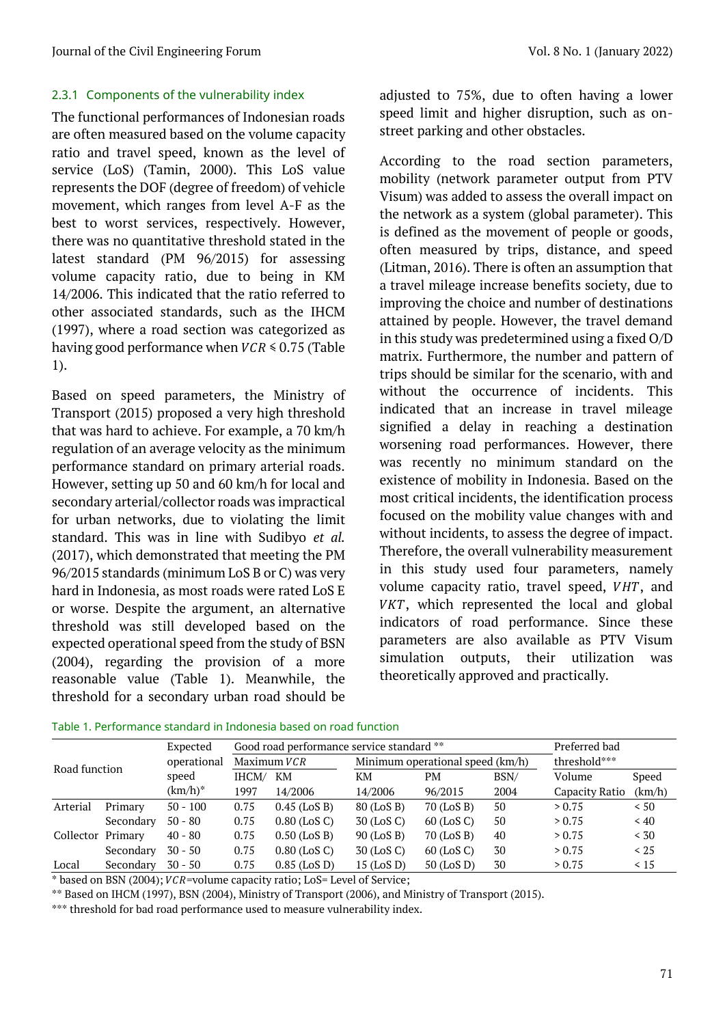# 2.3.1 Components of the vulnerability index

The functional performances of Indonesian roads are often measured based on the volume capacity ratio and travel speed, known as the level of service (LoS) (Tamin, 2000). This LoS value represents the DOF (degree of freedom) of vehicle movement, which ranges from level A-F as the best to worst services, respectively. However, there was no quantitative threshold stated in the latest standard (PM 96/2015) for assessing volume capacity ratio, due to being in KM 14/2006. This indicated that the ratio referred to other associated standards, such as the IHCM (1997), where a road section was categorized as having good performance when  $VCR \le 0.75$  (Table 1).

Based on speed parameters, the Ministry of Transport (2015) proposed a very high threshold that was hard to achieve. For example, a 70 km/h regulation of an average velocity as the minimum performance standard on primary arterial roads. However, setting up 50 and 60 km/h for local and secondary arterial/collector roads was impractical for urban networks, due to violating the limit standard. This was in line with Sudibyo *et al.* (2017), which demonstrated that meeting the PM 96/2015 standards (minimum LoS B or C) was very hard in Indonesia, as most roads were rated LoS E or worse. Despite the argument, an alternative threshold was still developed based on the expected operational speed from the study of BSN (2004), regarding the provision of a more reasonable value (Table 1). Meanwhile, the threshold for a secondary urban road should be adjusted to 75%, due to often having a lower speed limit and higher disruption, such as onstreet parking and other obstacles.

According to the road section parameters, mobility (network parameter output from PTV Visum) was added to assess the overall impact on the network as a system (global parameter). This is defined as the movement of people or goods, often measured by trips, distance, and speed (Litman, 2016). There is often an assumption that a travel mileage increase benefits society, due to improving the choice and number of destinations attained by people. However, the travel demand in this study was predetermined using a fixed O/D matrix. Furthermore, the number and pattern of trips should be similar for the scenario, with and without the occurrence of incidents. This indicated that an increase in travel mileage signified a delay in reaching a destination worsening road performances. However, there was recently no minimum standard on the existence of mobility in Indonesia. Based on the most critical incidents, the identification process focused on the mobility value changes with and without incidents, to assess the degree of impact. Therefore, the overall vulnerability measurement in this study used four parameters, namely volume capacity ratio, travel speed,  $VHT$ , and  $VKT$ , which represented the local and global indicators of road performance. Since these parameters are also available as PTV Visum simulation outputs, their utilization was theoretically approved and practically.

| Road function     |           | Expected    |             | Good road performance service standard ** | Preferred bad |                                  |              |                |                 |
|-------------------|-----------|-------------|-------------|-------------------------------------------|---------------|----------------------------------|--------------|----------------|-----------------|
|                   |           | operational | Maximum VCR |                                           |               | Minimum operational speed (km/h) | threshold*** |                |                 |
|                   |           | speed       | IHCM/       | KM                                        | KМ            | PМ                               | BSN/         | Volume         | Speed<br>(km/h) |
|                   |           | $(km/h)^*$  | 1997        | 14/2006                                   | 14/2006       | 96/2015                          | 2004         | Capacity Ratio |                 |
| Arterial          | Primary   | $50 - 100$  | 0.75        | $0.45$ (LoS B)                            | 80 (LoS B)    | 70 (LoS B)                       | 50           | > 0.75         | < 50            |
|                   | Secondary | $50 - 80$   | 0.75        | $0.80$ (LoS C)                            | 30 (LoS C)    | $60$ (LoS C)                     | 50           | > 0.75         | ~< 40           |
| Collector Primary |           | $40 - 80$   | 0.75        | $0.50$ (LoS B)                            | 90 (LoS B)    | 70 (LoS B)                       | 40           | > 0.75         | < 30            |
|                   | Secondary | $30 - 50$   | 0.75        | $0.80$ (LoS C)                            | 30 (LoS C)    | $60$ (LoS C)                     | 30           | > 0.75         | < 25            |
| Local             | Secondary | $30 - 50$   | 0.75        | $0.85$ (LoS D)                            | $15$ (LoS D)  | $50$ (LoS D)                     | 30           | > 0.75         | $\leq 15$       |

Table 1. Performance standard in Indonesia based on road function

 $*$  based on BSN (2004);  $VCR$  =volume capacity ratio; LoS = Level of Service;

\*\* Based on IHCM (1997), BSN (2004), Ministry of Transport (2006), and Ministry of Transport (2015).

\*\*\* threshold for bad road performance used to measure vulnerability index.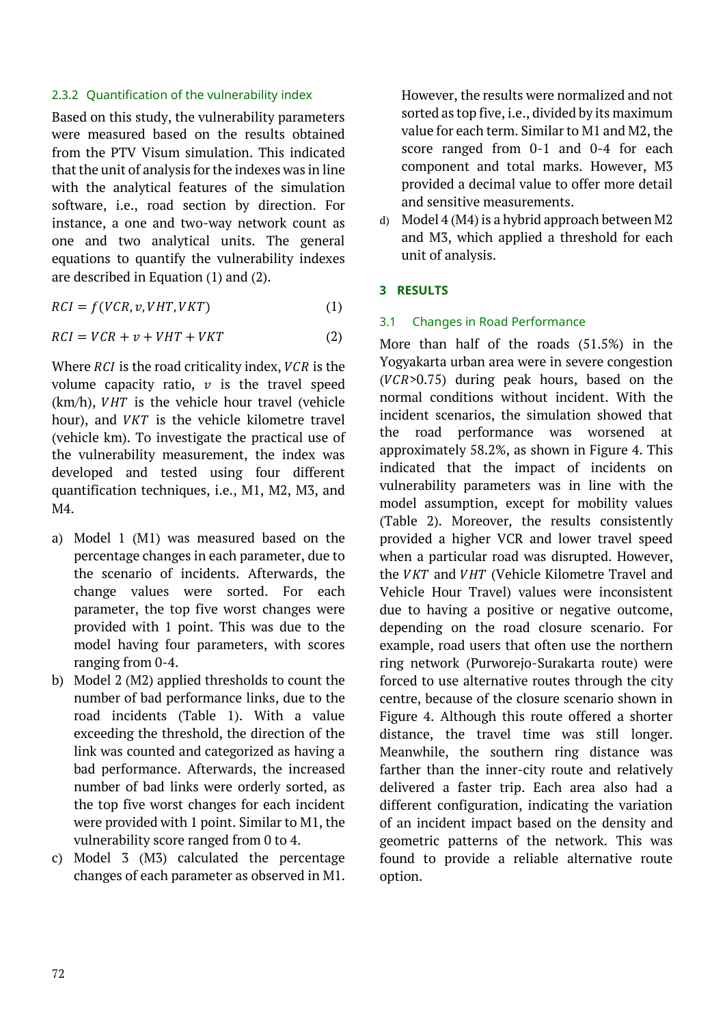## 2.3.2 Quantification of the vulnerability index

Based on this study, the vulnerability parameters were measured based on the results obtained from the PTV Visum simulation. This indicated that the unit of analysis for the indexes was in line with the analytical features of the simulation software, i.e., road section by direction. For instance, a one and two-way network count as one and two analytical units. The general equations to quantify the vulnerability indexes are described in Equation (1) and (2).

$$
RCI = f(VCR, v, VHT, VKT)
$$
\n(1)

$$
RCI = VCR + v + VHT + VKT \tag{2}
$$

Where  $\overline{RCI}$  is the road criticality index,  $\overline{VCR}$  is the volume capacity ratio,  $v$  is the travel speed  $(km/h)$ ,  $VHT$  is the vehicle hour travel (vehicle hour), and  $VKT$  is the vehicle kilometre travel (vehicle km). To investigate the practical use of the vulnerability measurement, the index was developed and tested using four different quantification techniques, i.e., M1, M2, M3, and M4.

- a) Model 1 (M1) was measured based on the percentage changes in each parameter, due to the scenario of incidents. Afterwards, the change values were sorted. For each parameter, the top five worst changes were provided with 1 point. This was due to the model having four parameters, with scores ranging from 0-4.
- b) Model 2 (M2) applied thresholds to count the number of bad performance links, due to the road incidents (Table 1). With a value exceeding the threshold, the direction of the link was counted and categorized as having a bad performance. Afterwards, the increased number of bad links were orderly sorted, as the top five worst changes for each incident were provided with 1 point. Similar to M1, the vulnerability score ranged from 0 to 4.
- c) Model 3 (M3) calculated the percentage changes of each parameter as observed in M1.

However, the results were normalized and not sorted as top five, i.e., divided by its maximum value for each term. Similar to M1 and M2, the score ranged from 0-1 and 0-4 for each component and total marks. However, M3 provided a decimal value to offer more detail and sensitive measurements.

d) Model 4 (M4) is a hybrid approach between M2 and M3, which applied a threshold for each unit of analysis.

### **3 RESULTS**

### 3.1 Changes in Road Performance

More than half of the roads (51.5%) in the Yogyakarta urban area were in severe congestion  $(VCR > 0.75)$  during peak hours, based on the normal conditions without incident. With the incident scenarios, the simulation showed that the road performance was worsened at approximately 58.2%, as shown in Figure 4. This indicated that the impact of incidents on vulnerability parameters was in line with the model assumption, except for mobility values (Table 2). Moreover, the results consistently provided a higher VCR and lower travel speed when a particular road was disrupted. However, the *VKT* and *VHT* (Vehicle Kilometre Travel and Vehicle Hour Travel) values were inconsistent due to having a positive or negative outcome, depending on the road closure scenario. For example, road users that often use the northern ring network (Purworejo-Surakarta route) were forced to use alternative routes through the city centre, because of the closure scenario shown in Figure 4. Although this route offered a shorter distance, the travel time was still longer. Meanwhile, the southern ring distance was farther than the inner-city route and relatively delivered a faster trip. Each area also had a different configuration, indicating the variation of an incident impact based on the density and geometric patterns of the network. This was found to provide a reliable alternative route option.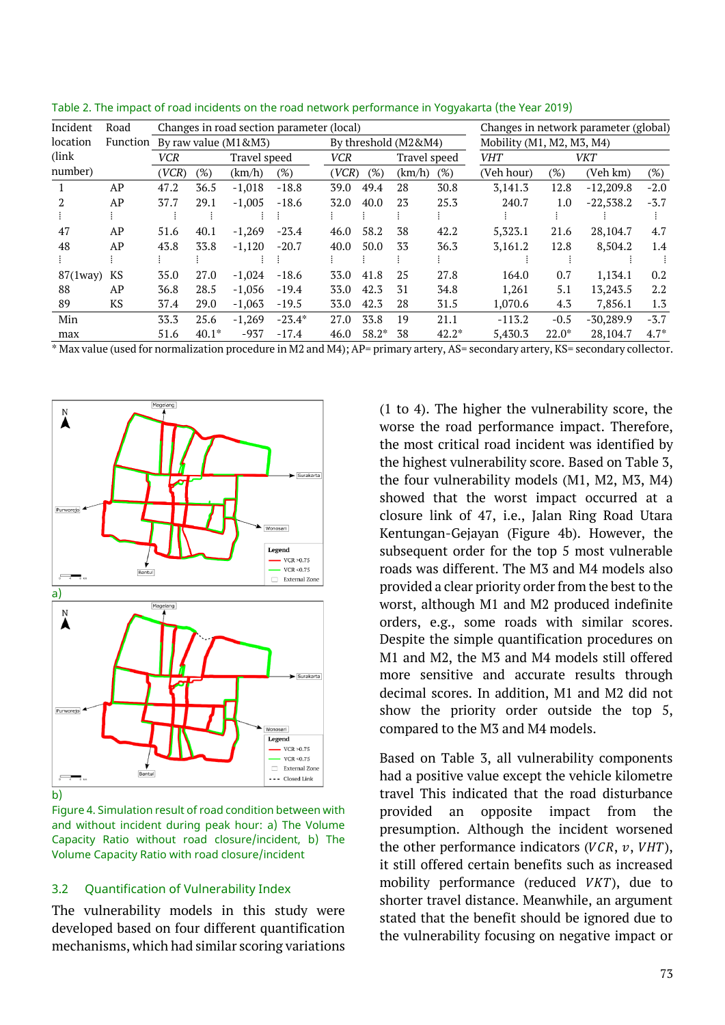| Incident       | Road |                               |         |              | Changes in road section parameter (local) | Changes in network parameter (global) |                      |        |                             |            |            |             |         |
|----------------|------|-------------------------------|---------|--------------|-------------------------------------------|---------------------------------------|----------------------|--------|-----------------------------|------------|------------|-------------|---------|
| location       |      | Function By raw value (M1&M3) |         |              |                                           |                                       | By threshold (M2&M4) |        | Mobility $(M1, M2, M3, M4)$ |            |            |             |         |
| (link)         |      | VCR                           |         | Travel speed |                                           | <b>VCR</b>                            |                      |        | Travel speed                | <b>VHT</b> | <b>VKT</b> |             |         |
| number)        |      | (VCR)                         | $(\%)$  | (km/h)       | (%)                                       | (VCR)                                 | (%)                  | (km/h) | $(\%)$                      | (Veh hour) | $(\%)$     | (Veh km)    | $(\%)$  |
|                | AP   | 47.2                          | 36.5    | $-1,018$     | $-18.8$                                   | 39.0                                  | 49.4                 | 28     | 30.8                        | 3,141.3    | 12.8       | $-12,209.8$ | $-2.0$  |
| 2              | AP   | 37.7                          | 29.1    | $-1,005$     | $-18.6$                                   | 32.0                                  | 40.0                 | 23     | 25.3                        | 240.7      | 1.0        | $-22,538.2$ | $-3.7$  |
|                |      |                               |         |              |                                           |                                       |                      |        |                             |            |            |             |         |
| 47             | AP   | 51.6                          | 40.1    | $-1.269$     | $-23.4$                                   | 46.0                                  | 58.2                 | 38     | 42.2                        | 5.323.1    | 21.6       | 28,104.7    | 4.7     |
| 48             | AP   | 43.8                          | 33.8    | $-1,120$     | $-20.7$                                   | 40.0                                  | 50.0                 | 33     | 36.3                        | 3,161.2    | 12.8       | 8,504.2     | 1.4     |
|                |      |                               |         |              |                                           |                                       |                      |        |                             |            |            |             |         |
| $87(1$ way $)$ | KS   | 35.0                          | 27.0    | $-1,024$     | $-18.6$                                   | 33.0                                  | 41.8                 | 25     | 27.8                        | 164.0      | 0.7        | 1,134.1     | 0.2     |
| 88             | AP   | 36.8                          | 28.5    | $-1.056$     | $-19.4$                                   | 33.0                                  | 42.3                 | 31     | 34.8                        | 1.261      | 5.1        | 13,243.5    | $2.2\,$ |
| 89             | KS   | 37.4                          | 29.0    | $-1,063$     | $-19.5$                                   | 33.0                                  | 42.3                 | 28     | 31.5                        | 1,070.6    | 4.3        | 7,856.1     | 1.3     |
| Min            |      | 33.3                          | 25.6    | $-1,269$     | $-23.4*$                                  | 27.0                                  | 33.8                 | 19     | 21.1                        | $-113.2$   | $-0.5$     | $-30,289.9$ | $-3.7$  |
| max            |      | 51.6                          | $40.1*$ | $-937$       | $-17.4$                                   | 46.0                                  | $58.2*$              | 38     | $42.2*$                     | 5.430.3    | $22.0*$    | 28,104.7    | $4.7*$  |

Table 2. The impact of road incidents on the road network performance in Yogyakarta (the Year 2019)

\* Max value (used for normalization procedure in M2 and M4); AP= primary artery, AS= secondary artery, KS= secondary collector.



Figure 4. Simulation result of road condition between with and without incident during peak hour: a) The Volume Capacity Ratio without road closure/incident, b) The Volume Capacity Ratio with road closure/incident

#### 3.2 Quantification of Vulnerability Index

The vulnerability models in this study were developed based on four different quantification mechanisms, which had similar scoring variations

(1 to 4). The higher the vulnerability score, the worse the road performance impact. Therefore, the most critical road incident was identified by the highest vulnerability score. Based on Table 3, the four vulnerability models (M1, M2, M3, M4) showed that the worst impact occurred at a closure link of 47, i.e., Jalan Ring Road Utara Kentungan-Gejayan (Figure 4b). However, the subsequent order for the top 5 most vulnerable roads was different. The M3 and M4 models also provided a clear priority order from the best to the worst, although M1 and M2 produced indefinite orders, e.g., some roads with similar scores. Despite the simple quantification procedures on M1 and M2, the M3 and M4 models still offered more sensitive and accurate results through decimal scores. In addition, M1 and M2 did not show the priority order outside the top 5, compared to the M3 and M4 models.

Based on Table 3, all vulnerability components had a positive value except the vehicle kilometre travel This indicated that the road disturbance provided an opposite impact from the presumption. Although the incident worsened the other performance indicators ( $VCR$ ,  $v$ ,  $VHT$ ), it still offered certain benefits such as increased mobility performance (reduced  $VKT$ ), due to shorter travel distance. Meanwhile, an argument stated that the benefit should be ignored due to the vulnerability focusing on negative impact or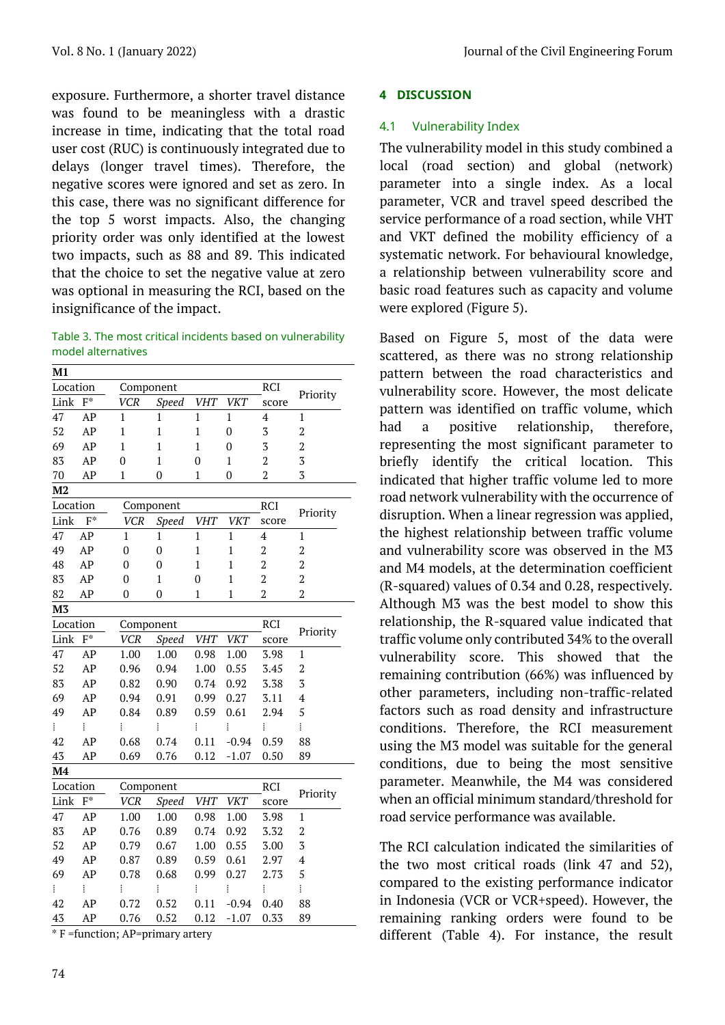exposure. Furthermore, a shorter travel distance was found to be meaningless with a drastic increase in time, indicating that the total road user cost (RUC) is continuously integrated due to delays (longer travel times). Therefore, the negative scores were ignored and set as zero. In this case, there was no significant difference for the top 5 worst impacts. Also, the changing priority order was only identified at the lowest two impacts, such as 88 and 89. This indicated that the choice to set the negative value at zero was optional in measuring the RCI, based on the insignificance of the impact.

Table 3. The most critical incidents based on vulnerability model alternatives

| M1                     |          |                            |              |                |                |                |                         |  |
|------------------------|----------|----------------------------|--------------|----------------|----------------|----------------|-------------------------|--|
| Location               |          | Component                  |              | RCI            | Priority       |                |                         |  |
| Link                   | $F^*$    | VCR<br><b>Speed</b>        |              | <b>VHT</b>     | <b>VKT</b>     | score          |                         |  |
| 47                     | AP       | $\mathbf{1}$               | $\mathbf{1}$ | $\mathbf{1}$   | $\mathbf{1}$   | $\overline{4}$ | $\mathbf{1}$            |  |
| 52                     | AP       | $\mathbf{1}$               | $\mathbf{1}$ | $\mathbf{1}$   | $\overline{0}$ | $\overline{3}$ | $\overline{2}$          |  |
| 69                     | AP       | $\mathbf{1}$               | $\mathbf{1}$ | $\mathbf{1}$   | $\overline{0}$ | 3              | $\overline{2}$          |  |
| 83                     | AP       | $\overline{0}$             | $\mathbf{1}$ | $\overline{0}$ | $\mathbf{1}$   | $\overline{2}$ | $\overline{3}$          |  |
| 70                     | AP       | $\mathbf{1}$               | $\mathbf{0}$ | $\mathbf{1}$   | $\overline{0}$ | $\overline{2}$ | 3                       |  |
| M2                     |          |                            |              |                |                |                |                         |  |
| Location               |          | Component                  |              |                |                | RCI            | Priority                |  |
| Link                   | $F^*$    | <b>VCR</b><br><b>Speed</b> |              | <b>VHT</b>     | <b>VKT</b>     | score          |                         |  |
| 47                     | AP       | 1                          | 1            | $\mathbf{1}$   | $\mathbf{1}$   | $\overline{4}$ | $\mathbf{1}$            |  |
| 49                     | AP       | $\mathbf{0}$               | $\mathbf{0}$ | $\mathbf{1}$   | $\mathbf{1}$   | $\overline{2}$ | $\overline{2}$          |  |
| 48                     | AP       | $\mathbf{0}$               | $\mathbf{0}$ | $\mathbf{1}$   | $\mathbf{1}$   | $\overline{2}$ | $\overline{2}$          |  |
| 83                     | AP       | $\overline{0}$             | $\mathbf{1}$ | 0              | $\mathbf{1}$   | $\overline{2}$ | $\overline{2}$          |  |
| 82                     | AP       | 0                          | 0            | $\mathbf{1}$   | $\mathbf{1}$   | $\overline{2}$ | $\overline{2}$          |  |
| M <sub>3</sub>         |          |                            |              |                |                |                |                         |  |
| Location               |          | Component                  |              | RCI            |                |                |                         |  |
| $\mathbf{F}^*$<br>Link |          | <b>VCR</b>                 | Speed        | <b>VHT</b>     | <b>VKT</b>     | score          | Priority                |  |
| 47                     | AP       | 1.00                       | 1.00         | 0.98           | 1.00           | 3.98           | $\mathbf{1}$            |  |
| 52                     | AP       | 0.96                       | 0.94         | 1.00           | 0.55           | 3.45           | $\overline{2}$          |  |
| 83                     | AP       | 0.82                       | 0.90         | 0.74           | 0.92           | 3.38           | $\overline{3}$          |  |
| 69                     | AP       | 0.94                       | 0.91         | 0.99           | 0.27           | 3.11           | $\overline{4}$          |  |
| 49                     | AP       | 0.84                       | 0.89         | 0.59           | 0.61           | 2.94           | 5                       |  |
| ŧ                      | ŧ        | ŧ                          | i            | ŧ              | i              | ŧ              | ŧ                       |  |
| 42                     | AP       | 0.68                       | 0.74         | 0.11           | $-0.94$        | 0.59           | 88                      |  |
| 43                     | AP       | 0.69                       | 0.76         | 0.12           | $-1.07$        | 0.50           | 89                      |  |
| M <sub>4</sub>         |          |                            |              |                |                |                |                         |  |
| Location               |          | Component                  |              |                |                | RCI            | Priority                |  |
| Link                   | $F^*$    | <b>VCR</b>                 | <b>Speed</b> | <b>VHT</b>     | <b>VKT</b>     | score          |                         |  |
| 47                     | AP       | 1.00                       | 1.00         | 0.98           | 1.00           | 3.98           | $\mathbf{1}$            |  |
| 83                     | AP       | 0.76                       | 0.89         | 0.74           | 0.92           | 3.32           | $\overline{2}$          |  |
| 52                     | AP       | 0.79                       | 0.67         | 1.00           | 0.55           | 3.00           | 3                       |  |
| 49                     | AP       | 0.87                       | 0.89         | 0.59           | 0.61           | 2.97           | $\overline{\mathbf{4}}$ |  |
| 69                     | AP       | 0.78                       | 0.68         | 0.99           | 0.27           | 2.73           | 5                       |  |
| ŧ.                     | $\vdots$ | ŧ                          | ŧ            | ŧ              | ŧ              | ŧ              | ŧ                       |  |
| 42                     | AP       | 0.72                       | 0.52         | 0.11           | $-0.94$        | 0.40           | 88                      |  |
| 43                     | AP       | 0.76                       | 0.52         | 0.12           | $-1.07$        | 0.33           | 89                      |  |

\* F =function; AP=primary artery

# **4 DISCUSSION**

# 4.1 Vulnerability Index

The vulnerability model in this study combined a local (road section) and global (network) parameter into a single index. As a local parameter, VCR and travel speed described the service performance of a road section, while VHT and VKT defined the mobility efficiency of a systematic network. For behavioural knowledge, a relationship between vulnerability score and basic road features such as capacity and volume were explored (Figure 5).

Based on Figure 5, most of the data were scattered, as there was no strong relationship pattern between the road characteristics and vulnerability score. However, the most delicate pattern was identified on traffic volume, which had a positive relationship, therefore, representing the most significant parameter to briefly identify the critical location. This indicated that higher traffic volume led to more road network vulnerability with the occurrence of disruption. When a linear regression was applied, the highest relationship between traffic volume and vulnerability score was observed in the M3 and M4 models, at the determination coefficient (R-squared) values of 0.34 and 0.28, respectively. Although M3 was the best model to show this relationship, the R-squared value indicated that traffic volume only contributed 34% to the overall vulnerability score. This showed that the remaining contribution (66%) was influenced by other parameters, including non-traffic-related factors such as road density and infrastructure conditions. Therefore, the RCI measurement using the M3 model was suitable for the general conditions, due to being the most sensitive parameter. Meanwhile, the M4 was considered when an official minimum standard/threshold for road service performance was available.

The RCI calculation indicated the similarities of the two most critical roads (link 47 and 52), compared to the existing performance indicator in Indonesia (VCR or VCR+speed). However, the remaining ranking orders were found to be different (Table 4). For instance, the result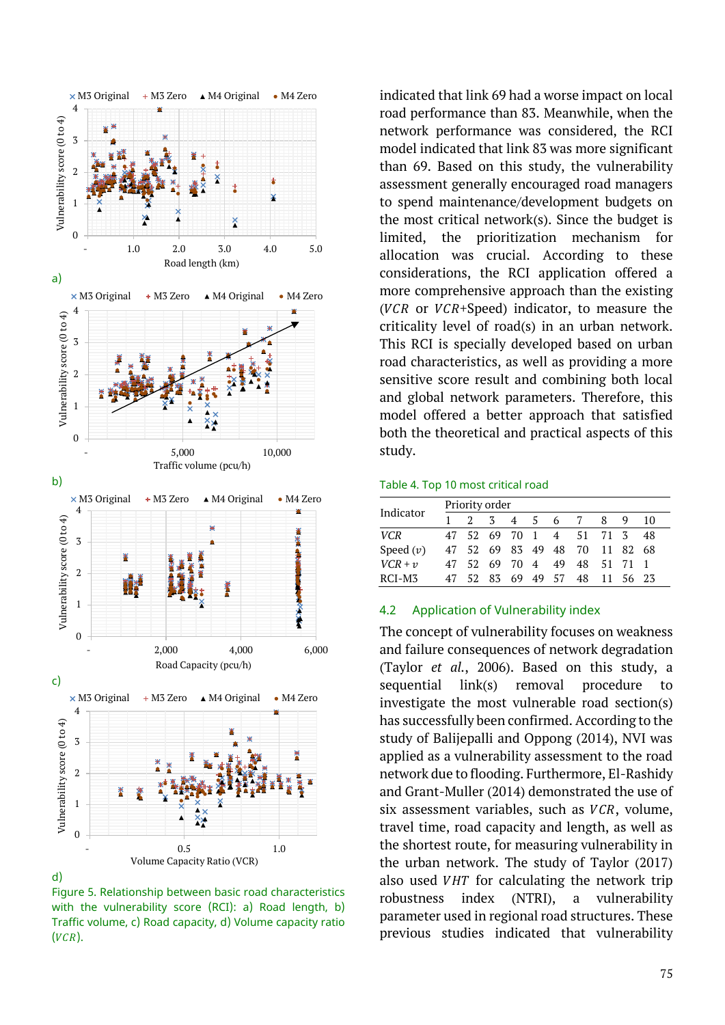

d)

Figure 5. Relationship between basic road characteristics with the vulnerability score (RCI): a) Road length, b) Traffic volume, c) Road capacity, d) Volume capacity ratio  $(VCR).$ 

indicated that link 69 had a worse impact on local road performance than 83. Meanwhile, when the network performance was considered, the RCI model indicated that link 83 was more significant than 69. Based on this study, the vulnerability assessment generally encouraged road managers to spend maintenance/development budgets on the most critical network(s). Since the budget is limited, the prioritization mechanism for allocation was crucial. According to these considerations, the RCI application offered a more comprehensive approach than the existing ( $VCR$  or  $VCR+Speed$ ) indicator, to measure the criticality level of road(s) in an urban network. This RCI is specially developed based on urban road characteristics, as well as providing a more sensitive score result and combining both local and global network parameters. Therefore, this model offered a better approach that satisfied both the theoretical and practical aspects of this study.

#### Table 4. Top 10 most critical road

| Indicator   | Priority order |             |               |                |   |                |                   |          |          |     |  |
|-------------|----------------|-------------|---------------|----------------|---|----------------|-------------------|----------|----------|-----|--|
|             |                | $2^{\circ}$ | $\mathcal{Z}$ | $\overline{4}$ | 5 | 6 7            |                   | 8        | Q        | 10  |  |
| <b>VCR</b>  | 47             | 52 69 70 1  |               |                |   |                | 4 51 71 3         |          |          | -48 |  |
| Speed $(v)$ | 47             |             |               |                |   |                | 52 69 83 49 48 70 |          | 11 82 68 |     |  |
| $VCR + v$   | 47             | 52          |               | 69 70 4        |   | 49             |                   | 48 51 71 |          |     |  |
| RCI-M3      |                |             |               |                |   | 52 83 69 49 57 | 48.               |          | 11 56 23 |     |  |

#### 4.2 Application of Vulnerability index

The concept of vulnerability focuses on weakness and failure consequences of network degradation (Taylor *et al.*, 2006). Based on this study, a sequential link(s) removal procedure to investigate the most vulnerable road section(s) has successfully been confirmed. According to the study of Balijepalli and Oppong (2014), NVI was applied as a vulnerability assessment to the road network due to flooding. Furthermore, El-Rashidy and Grant-Muller (2014) demonstrated the use of six assessment variables, such as  $VCR$ , volume, travel time, road capacity and length, as well as the shortest route, for measuring vulnerability in the urban network. The study of Taylor (2017) also used  $VHT$  for calculating the network trip robustness index (NTRI), a vulnerability parameter used in regional road structures. These previous studies indicated that vulnerability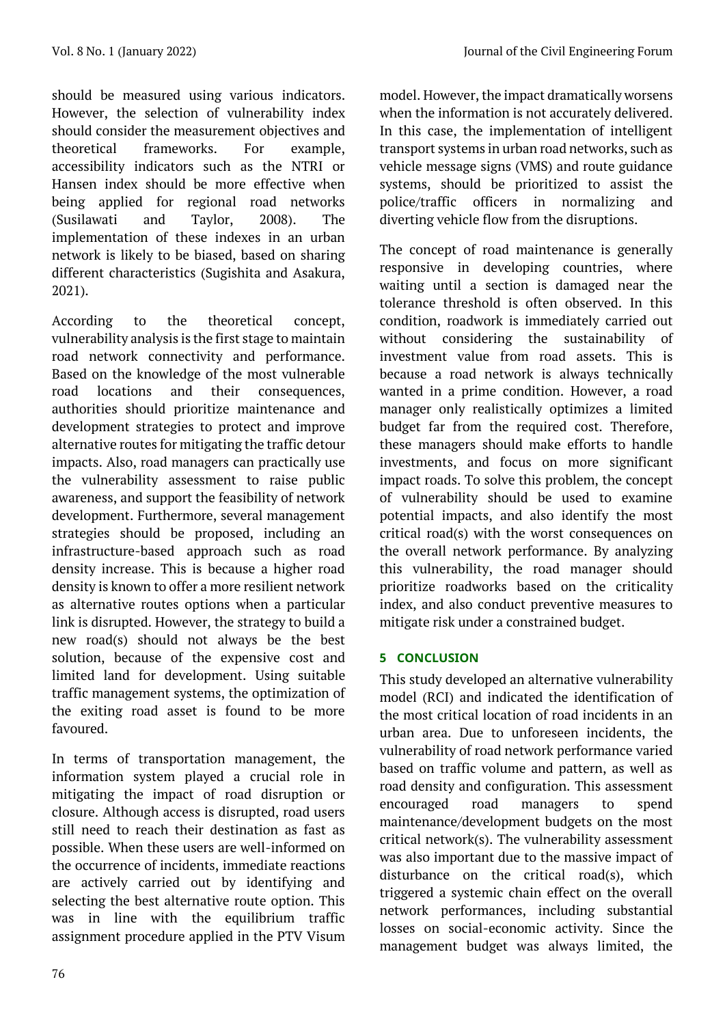should be measured using various indicators. However, the selection of vulnerability index should consider the measurement objectives and theoretical frameworks. For example, accessibility indicators such as the NTRI or Hansen index should be more effective when being applied for regional road networks (Susilawati and Taylor, 2008). The implementation of these indexes in an urban network is likely to be biased, based on sharing different characteristics (Sugishita and Asakura, 2021).

According to the theoretical concept, vulnerability analysis is the first stage to maintain road network connectivity and performance. Based on the knowledge of the most vulnerable road locations and their consequences, authorities should prioritize maintenance and development strategies to protect and improve alternative routes for mitigating the traffic detour impacts. Also, road managers can practically use the vulnerability assessment to raise public awareness, and support the feasibility of network development. Furthermore, several management strategies should be proposed, including an infrastructure-based approach such as road density increase. This is because a higher road density is known to offer a more resilient network as alternative routes options when a particular link is disrupted. However, the strategy to build a new road(s) should not always be the best solution, because of the expensive cost and limited land for development. Using suitable traffic management systems, the optimization of the exiting road asset is found to be more favoured.

In terms of transportation management, the information system played a crucial role in mitigating the impact of road disruption or closure. Although access is disrupted, road users still need to reach their destination as fast as possible. When these users are well-informed on the occurrence of incidents, immediate reactions are actively carried out by identifying and selecting the best alternative route option. This was in line with the equilibrium traffic assignment procedure applied in the PTV Visum model. However, the impact dramatically worsens when the information is not accurately delivered. In this case, the implementation of intelligent transport systems in urban road networks, such as vehicle message signs (VMS) and route guidance systems, should be prioritized to assist the police/traffic officers in normalizing and diverting vehicle flow from the disruptions.

The concept of road maintenance is generally responsive in developing countries, where waiting until a section is damaged near the tolerance threshold is often observed. In this condition, roadwork is immediately carried out without considering the sustainability of investment value from road assets. This is because a road network is always technically wanted in a prime condition. However, a road manager only realistically optimizes a limited budget far from the required cost. Therefore, these managers should make efforts to handle investments, and focus on more significant impact roads. To solve this problem, the concept of vulnerability should be used to examine potential impacts, and also identify the most critical road(s) with the worst consequences on the overall network performance. By analyzing this vulnerability, the road manager should prioritize roadworks based on the criticality index, and also conduct preventive measures to mitigate risk under a constrained budget.

# **5 CONCLUSION**

This study developed an alternative vulnerability model (RCI) and indicated the identification of the most critical location of road incidents in an urban area. Due to unforeseen incidents, the vulnerability of road network performance varied based on traffic volume and pattern, as well as road density and configuration. This assessment encouraged road managers to spend maintenance/development budgets on the most critical network(s). The vulnerability assessment was also important due to the massive impact of disturbance on the critical road(s), which triggered a systemic chain effect on the overall network performances, including substantial losses on social-economic activity. Since the management budget was always limited, the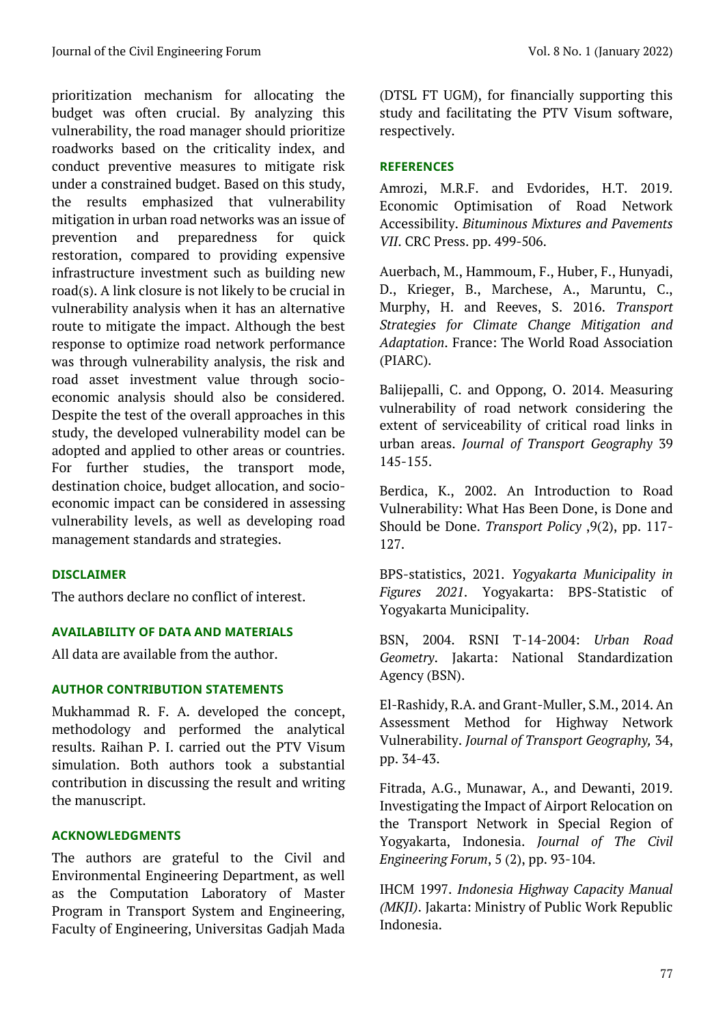prioritization mechanism for allocating the budget was often crucial. By analyzing this vulnerability, the road manager should prioritize roadworks based on the criticality index, and conduct preventive measures to mitigate risk under a constrained budget. Based on this study, the results emphasized that vulnerability mitigation in urban road networks was an issue of prevention and preparedness for quick restoration, compared to providing expensive infrastructure investment such as building new road(s). A link closure is not likely to be crucial in vulnerability analysis when it has an alternative route to mitigate the impact. Although the best response to optimize road network performance was through vulnerability analysis, the risk and road asset investment value through socioeconomic analysis should also be considered. Despite the test of the overall approaches in this study, the developed vulnerability model can be adopted and applied to other areas or countries. For further studies, the transport mode, destination choice, budget allocation, and socioeconomic impact can be considered in assessing vulnerability levels, as well as developing road management standards and strategies.

# **DISCLAIMER**

The authors declare no conflict of interest.

# **AVAILABILITY OF DATA AND MATERIALS**

All data are available from the author.

### **AUTHOR CONTRIBUTION STATEMENTS**

Mukhammad R. F. A. developed the concept, methodology and performed the analytical results. Raihan P. I. carried out the PTV Visum simulation. Both authors took a substantial contribution in discussing the result and writing the manuscript.

# **ACKNOWLEDGMENTS**

The authors are grateful to the Civil and Environmental Engineering Department, as well as the Computation Laboratory of Master Program in Transport System and Engineering, Faculty of Engineering, Universitas Gadjah Mada (DTSL FT UGM), for financially supporting this study and facilitating the PTV Visum software, respectively.

## **REFERENCES**

Amrozi, M.R.F. and Evdorides, H.T. 2019. Economic Optimisation of Road Network Accessibility. *Bituminous Mixtures and Pavements VII*. CRC Press. pp. 499-506.

Auerbach, M., Hammoum, F., Huber, F., Hunyadi, D., Krieger, B., Marchese, A., Maruntu, C., Murphy, H. and Reeves, S. 2016. *Transport Strategies for Climate Change Mitigation and Adaptation*. France: The World Road Association (PIARC).

Balijepalli, C. and Oppong, O. 2014. Measuring vulnerability of road network considering the extent of serviceability of critical road links in urban areas. *Journal of Transport Geography* 39 145-155.

Berdica, K., 2002. An Introduction to Road Vulnerability: What Has Been Done, is Done and Should be Done. *Transport Policy* ,9(2), pp. 117- 127.

BPS-statistics, 2021. *Yogyakarta Municipality in Figures 2021*. Yogyakarta: BPS-Statistic of Yogyakarta Municipality.

BSN, 2004. RSNI T-14-2004: *Urban Road Geometry*. Jakarta: National Standardization Agency (BSN).

El-Rashidy, R.A. and Grant-Muller, S.M., 2014. An Assessment Method for Highway Network Vulnerability. *Journal of Transport Geography,* 34, pp. 34-43.

Fitrada, A.G., Munawar, A., and Dewanti, 2019. Investigating the Impact of Airport Relocation on the Transport Network in Special Region of Yogyakarta, Indonesia. *Journal of The Civil Engineering Forum*, 5 (2), pp. 93-104.

IHCM 1997. *Indonesia Highway Capacity Manual (MKJI)*. Jakarta: Ministry of Public Work Republic Indonesia.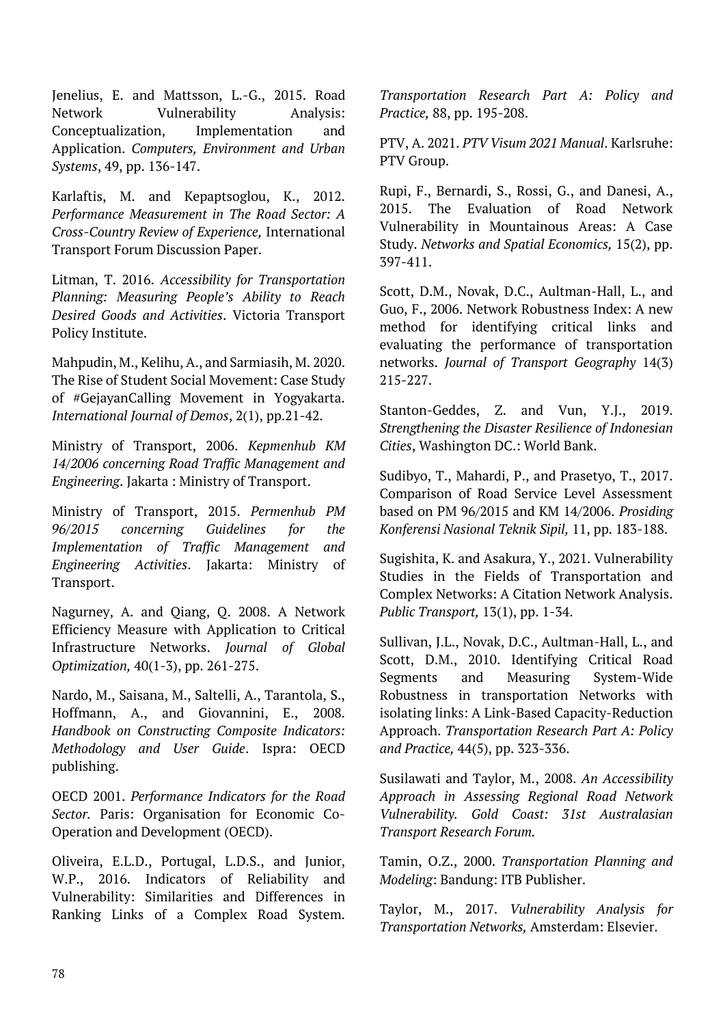Jenelius, E. and Mattsson, L.-G., 2015. Road Network Vulnerability Analysis: Conceptualization, Implementation and Application. *Computers, Environment and Urban Systems*, 49, pp. 136-147.

Karlaftis, M. and Kepaptsoglou, K., 2012. *Performance Measurement in The Road Sector: A Cross-Country Review of Experience,* International Transport Forum Discussion Paper.

Litman, T. 2016. *Accessibility for Transportation Planning: Measuring People's Ability to Reach Desired Goods and Activities*. Victoria Transport Policy Institute.

Mahpudin, M., Kelihu, A., and Sarmiasih, M. 2020. The Rise of Student Social Movement: Case Study of #GejayanCalling Movement in Yogyakarta. *International Journal of Demos*, 2(1), pp.21-42.

Ministry of Transport, 2006. *Kepmenhub KM 14/2006 concerning Road Traffic Management and Engineering*. Jakarta : Ministry of Transport.

Ministry of Transport, 2015. *Permenhub PM 96/2015 concerning Guidelines for the Implementation of Traffic Management and Engineering Activities*. Jakarta: Ministry of Transport.

Nagurney, A. and Qiang, Q. 2008. A Network Efficiency Measure with Application to Critical Infrastructure Networks. *Journal of Global Optimization,* 40(1-3), pp. 261-275.

Nardo, M., Saisana, M., Saltelli, A., Tarantola, S., Hoffmann, A., and Giovannini, E., 2008. *Handbook on Constructing Composite Indicators: Methodology and User Guide*. Ispra: OECD publishing.

OECD 2001. *Performance Indicators for the Road Sector.* Paris: Organisation for Economic Co-Operation and Development (OECD).

Oliveira, E.L.D., Portugal, L.D.S., and Junior, W.P., 2016. Indicators of Reliability and Vulnerability: Similarities and Differences in Ranking Links of a Complex Road System.

*Transportation Research Part A: Policy and Practice,* 88, pp. 195-208.

PTV, A. 2021. *PTV Visum 2021 Manual*. Karlsruhe: PTV Group.

Rupi, F., Bernardi, S., Rossi, G., and Danesi, A., 2015. The Evaluation of Road Network Vulnerability in Mountainous Areas: A Case Study. *Networks and Spatial Economics,* 15(2), pp. 397-411.

Scott, D.M., Novak, D.C., Aultman-Hall, L., and Guo, F., 2006. Network Robustness Index: A new method for identifying critical links and evaluating the performance of transportation networks. *Journal of Transport Geography* 14(3) 215-227.

Stanton-Geddes, Z. and Vun, Y.J., 2019. *Strengthening the Disaster Resilience of Indonesian Cities*, Washington DC.: World Bank.

Sudibyo, T., Mahardi, P., and Prasetyo, T., 2017. Comparison of Road Service Level Assessment based on PM 96/2015 and KM 14/2006. *Prosiding Konferensi Nasional Teknik Sipil,* 11, pp. 183-188.

Sugishita, K. and Asakura, Y., 2021. Vulnerability Studies in the Fields of Transportation and Complex Networks: A Citation Network Analysis. *Public Transport,* 13(1), pp. 1-34.

Sullivan, J.L., Novak, D.C., Aultman-Hall, L., and Scott, D.M., 2010. Identifying Critical Road Segments and Measuring System-Wide Robustness in transportation Networks with isolating links: A Link-Based Capacity-Reduction Approach. *Transportation Research Part A: Policy and Practice,* 44(5), pp. 323-336.

Susilawati and Taylor, M., 2008. *An Accessibility Approach in Assessing Regional Road Network Vulnerability. Gold Coast: 31st Australasian Transport Research Forum.* 

Tamin, O.Z., 2000. *Transportation Planning and Modeling*: Bandung: ITB Publisher.

Taylor, M., 2017. *Vulnerability Analysis for Transportation Networks,* Amsterdam: Elsevier.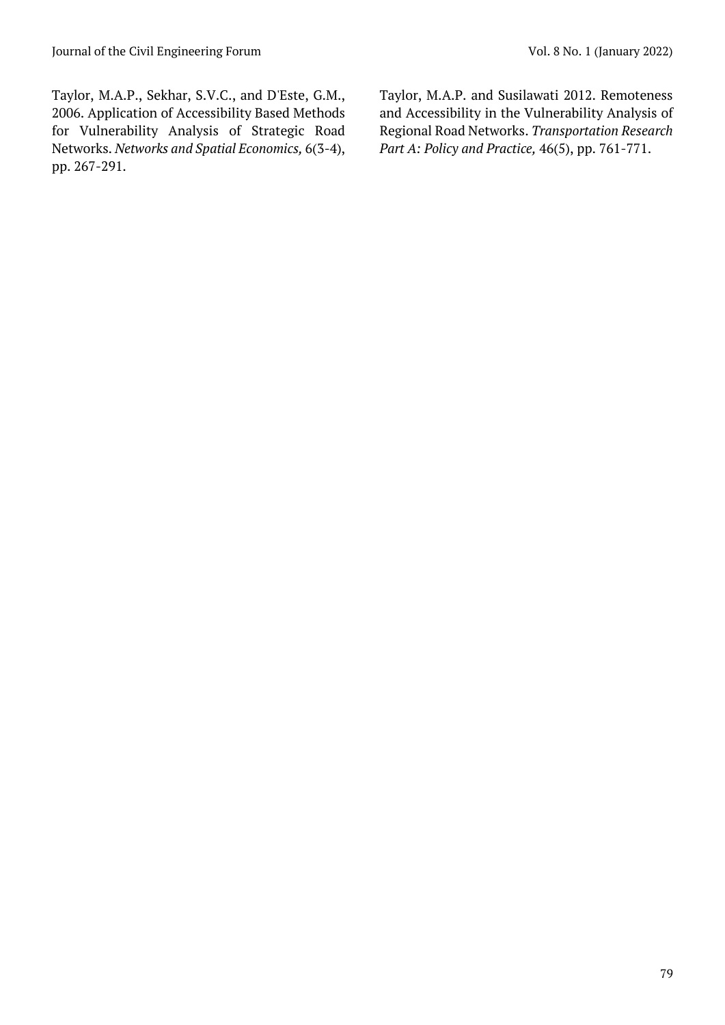Taylor, M.A.P., Sekhar, S.V.C., and D'Este, G.M., 2006. Application of Accessibility Based Methods for Vulnerability Analysis of Strategic Road Networks. *Networks and Spatial Economics,* 6(3-4), pp. 267-291.

Taylor, M.A.P. and Susilawati 2012. Remoteness and Accessibility in the Vulnerability Analysis of Regional Road Networks. *Transportation Research Part A: Policy and Practice,* 46(5), pp. 761-771.